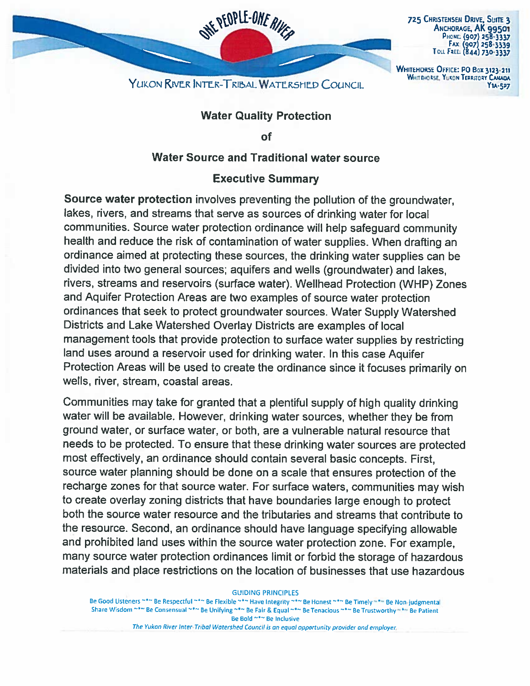

## Water Quality Protection

Y1A-527

of

## Water Source and Traditional water source

## Executive Summary

Source water protection involves preventing the pollution of the groundwater, lakes, rivers, and streams that serve as sources of drinking water for local communities. Source water protection ordinance will help safeguard community health and reduce the risk of contamination of water supplies. When drafting an ordinance aimed at protecting these sources, the drinking water supplies can be divided into two general sources; aquifers and wells (groundwater) and lakes, rivers, streams and reservoirs (surface water). Wellhead Protection (WHP) Zones and Aquifer Protection Areas are two examples of source water protection ordinances that seek to protect groundwater sources. Water Supply Watershed Districts and Lake Watershed Overlay Districts are examples of local management tools that provide protection to surface water supplies by restricting land uses around <sup>a</sup> reservoir used for drinking water. In this case Aquifer Protection Areas will be used to create the ordinance since it focuses primarily on wells, river, stream, coastal areas.

Communities may take for granted that <sup>a</sup> <sup>p</sup>lentiful supply of high quality drinking water will be available. However, drinking water sources, whether they be from ground water, or surface water, or both, are <sup>a</sup> vulnerable natural resource that needs to be protected. To ensure that these drinking water sources are protected most effectively, an ordinance should contain several basic concepts. First, source water planning should be done on <sup>a</sup> scale that ensures protection of the recharge zones for that source water. For surface waters, communities may wish to create overlay zoning districts that have boundaries large enoug<sup>h</sup> to protect both the source water resource and the tributaries and streams that contribute to the resource. Second, an ordinance should have language specifying allowable and prohibited land uses within the source water protection zone. For example, many source water protection ordinances limit or forbid the storage of hazardous materials and place restrictions on the location of businesses that use hazardous

GUIDING PRINCIPLES

Be Good Listeners ~\*~ Be Respectful ~\*~ Be Flexible ~\*~ Have Integrity ~\*~ Be Honest ~\*~ Be Timely ~\*~ Be Non-judgmental Share Wisdom ~\*~ Be Consensual ~\*~ Be Unifying ~\*~ Be Fair & Equal ~\*~ Be Tenacious ~\*~ Be Trustworthy ~\*~ Be Patient Be Bold ~\*~ Be Inclusive

The Yukon River Inter-Tribal Watershed Council is an equal opportunity provider and employer.